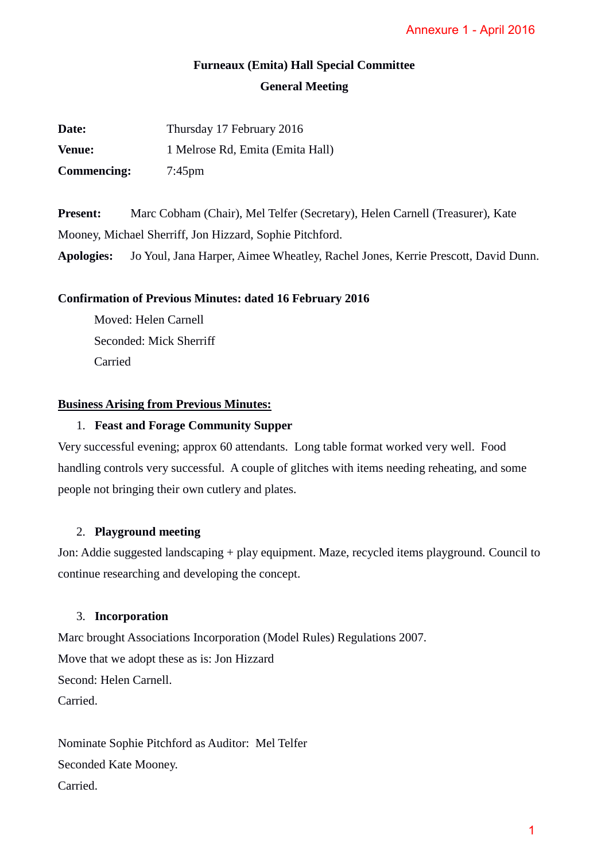# **Furneaux (Emita) Hall Special Committee General Meeting**

| Date:              | Thursday 17 February 2016        |
|--------------------|----------------------------------|
| <b>Venue:</b>      | 1 Melrose Rd, Emita (Emita Hall) |
| <b>Commencing:</b> | $7:45 \text{pm}$                 |

**Present:** Marc Cobham (Chair), Mel Telfer (Secretary), Helen Carnell (Treasurer), Kate Mooney, Michael Sherriff, Jon Hizzard, Sophie Pitchford.

**Apologies:** Jo Youl, Jana Harper, Aimee Wheatley, Rachel Jones, Kerrie Prescott, David Dunn.

## **Confirmation of Previous Minutes: dated 16 February 2016**

Moved: Helen Carnell Seconded: Mick Sherriff Carried

## **Business Arising from Previous Minutes:**

## 1. **Feast and Forage Community Supper**

Very successful evening; approx 60 attendants. Long table format worked very well. Food handling controls very successful. A couple of glitches with items needing reheating, and some people not bringing their own cutlery and plates. Annexure 1 - April 2016<br>
ee<br>
errie Prescott, David Dunn<br>
errie Prescott, David Dunn<br>
ked very well. Food<br>
ting reheating, and some<br>
ems playground. Council t<br>
007.

## 2. **Playground meeting**

Jon: Addie suggested landscaping + play equipment. Maze, recycled items playground. Council to continue researching and developing the concept.

### 3. **Incorporation**

Marc brought Associations Incorporation (Model Rules) Regulations 2007. Move that we adopt these as is: Jon Hizzard Second: Helen Carnell. Carried.

Nominate Sophie Pitchford as Auditor: Mel Telfer Seconded Kate Mooney. Carried.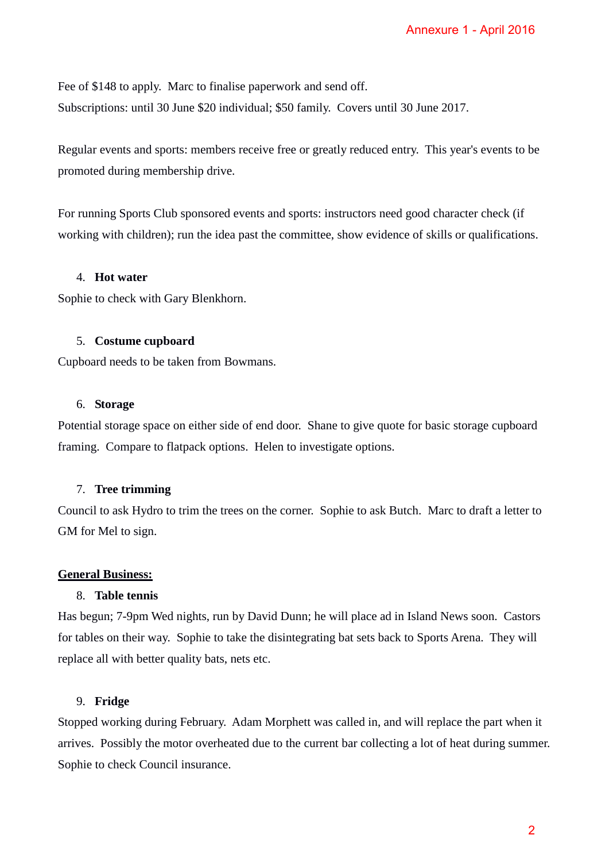Fee of \$148 to apply. Marc to finalise paperwork and send off. Subscriptions: until 30 June \$20 individual; \$50 family. Covers until 30 June 2017.

Regular events and sports: members receive free or greatly reduced entry. This year's events to be promoted during membership drive.

For running Sports Club sponsored events and sports: instructors need good character check (if working with children); run the idea past the committee, show evidence of skills or qualifications.

#### 4. **Hot water**

Sophie to check with Gary Blenkhorn.

#### 5. **Costume cupboard**

Cupboard needs to be taken from Bowmans.

#### 6. **Storage**

Potential storage space on either side of end door. Shane to give quote for basic storage cupboard framing. Compare to flatpack options. Helen to investigate options.

## 7. **Tree trimming**

Council to ask Hydro to trim the trees on the corner. Sophie to ask Butch. Marc to draft a letter to GM for Mel to sign.

#### **General Business:**

#### 8. **Table tennis**

Has begun; 7-9pm Wed nights, run by David Dunn; he will place ad in Island News soon. Castors for tables on their way. Sophie to take the disintegrating bat sets back to Sports Arena. They will replace all with better quality bats, nets etc.

## 9. **Fridge**

Stopped working during February. Adam Morphett was called in, and will replace the part when it arrives. Possibly the motor overheated due to the current bar collecting a lot of heat during summer. Sophie to check Council insurance. Annexure 1 - April 2016<br>
0 June 2017.<br>
Ty. This year's events to b<br>
good character check (if<br>
e of skills or qualifications<br>
for basic storage cupboard<br>
ch. Marc to draft a letter t<br>
ch. Marc to draft a letter t<br>
ch. Marc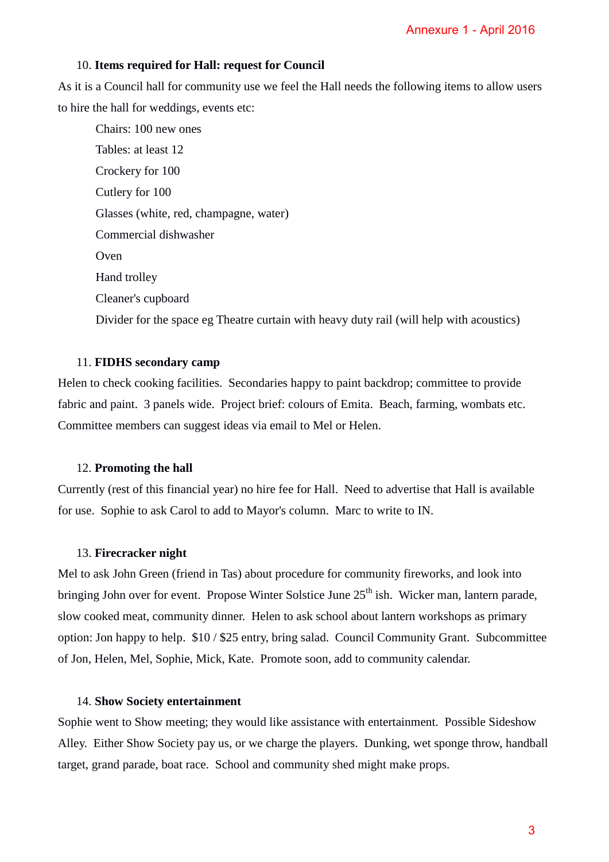#### 10. **Items required for Hall: request for Council**

As it is a Council hall for community use we feel the Hall needs the following items to allow users to hire the hall for weddings, events etc:

Chairs: 100 new ones Tables: at least 12 Crockery for 100 Cutlery for 100 Glasses (white, red, champagne, water) Commercial dishwasher Oven Hand trolley Cleaner's cupboard Divider for the space eg Theatre curtain with heavy duty rail (will help with acoustics) Annexure 1 - April 2016<br>
Ilowing items to allow use<br>
ill help with acoustics)<br>
p; committee to provide<br>
n, farming, wombats etc.<br>
ertise that Hall is available<br>
to IN.<br>
Fireworks, and look into<br>
dicker man, lantern parade<br>

### 11. **FIDHS secondary camp**

Helen to check cooking facilities. Secondaries happy to paint backdrop; committee to provide fabric and paint. 3 panels wide. Project brief: colours of Emita. Beach, farming, wombats etc. Committee members can suggest ideas via email to Mel or Helen.

#### 12. **Promoting the hall**

Currently (rest of this financial year) no hire fee for Hall. Need to advertise that Hall is available for use. Sophie to ask Carol to add to Mayor's column. Marc to write to IN.

#### 13. **Firecracker night**

Mel to ask John Green (friend in Tas) about procedure for community fireworks, and look into bringing John over for event. Propose Winter Solstice June 25<sup>th</sup> ish. Wicker man, lantern parade, slow cooked meat, community dinner. Helen to ask school about lantern workshops as primary option: Jon happy to help. \$10 / \$25 entry, bring salad. Council Community Grant. Subcommittee of Jon, Helen, Mel, Sophie, Mick, Kate. Promote soon, add to community calendar.

#### 14. **Show Society entertainment**

Sophie went to Show meeting; they would like assistance with entertainment. Possible Sideshow Alley. Either Show Society pay us, or we charge the players. Dunking, wet sponge throw, handball target, grand parade, boat race. School and community shed might make props.